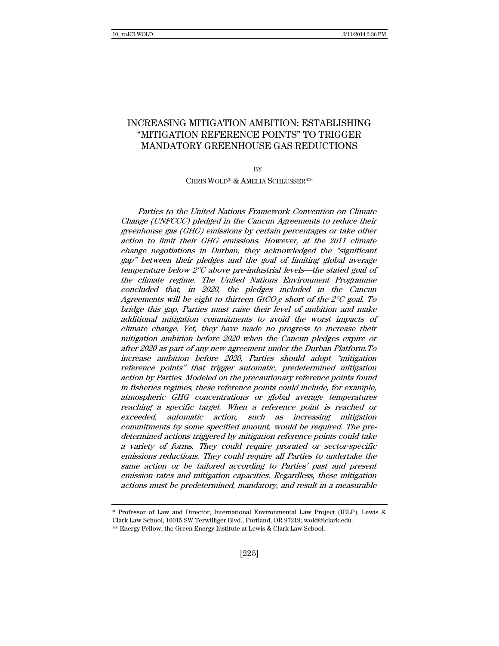# INCREASING MITIGATION AMBITION: ESTABLISHING "MITIGATION REFERENCE POINTS" TO TRIGGER MANDATORY GREENHOUSE GAS REDUCTIONS

**BV** 

CHRIS WOLD\* & AMELIA SCHLUSSER\*\*

Parties to the United Nations Framework Convention on Climate Change (UNFCCC) pledged in the Cancun Agreements to reduce their greenhouse gas (GHG) emissions by certain percentages or take other action to limit their GHG emissions. However, at the 2011 climate change negotiations in Durban, they acknowledged the "significant gap" between their pledges and the goal of limiting global average temperature below 2°C above pre-industrial levels—the stated goal of the climate regime. The United Nations Environment Programme concluded that, in 2020, the pledges included in the Cancun Agreements will be eight to thirteen GtCO $_{2}$ e short of the 2°C goal. To bridge this gap, Parties must raise their level of ambition and make additional mitigation commitments to avoid the worst impacts of climate change. Yet, they have made no progress to increase their mitigation ambition before 2020 when the Cancun pledges expire or after 2020 as part of any new agreement under the Durban Platform.To increase ambition before 2020, Parties should adopt "mitigation reference points" that trigger automatic, predetermined mitigation action by Parties. Modeled on the precautionary reference points found in fisheries regimes, these reference points could include, for example, atmospheric GHG concentrations or global average temperatures reaching a specific target. When a reference point is reached or exceeded, automatic action, such as increasing mitigation commitments by some specified amount, would be required. The predetermined actions triggered by mitigation reference points could take a variety of forms. They could require prorated or sector-specific emissions reductions. They could require all Parties to undertake the same action or be tailored according to Parties' past and present emission rates and mitigation capacities. Regardless, these mitigation actions must be predetermined, mandatory, and result in a measurable

<sup>\*</sup> Professor of Law and Director, International Environmental Law Project (IELP), Lewis & Clark Law School, 10015 SW Terwilliger Blvd., Portland, OR 97219; wold@lclark.edu.

<sup>\*\*</sup> Energy Fellow, the Green Energy Institute at Lewis & Clark Law School.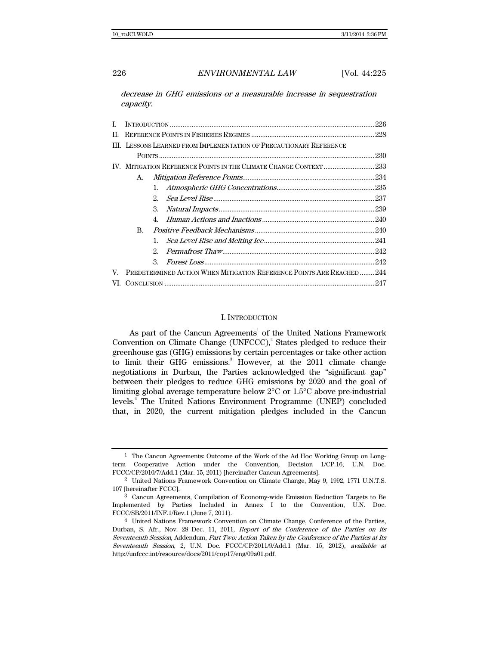decrease in GHG emissions or a measurable increase in sequestration capacity.

| L.  |                                                                      |             |  | .226 |
|-----|----------------------------------------------------------------------|-------------|--|------|
| II. |                                                                      |             |  |      |
|     | III. LESSONS LEARNED FROM IMPLEMENTATION OF PRECAUTIONARY REFERENCE  |             |  |      |
|     |                                                                      |             |  |      |
|     |                                                                      |             |  |      |
|     | A.                                                                   |             |  |      |
|     |                                                                      | 1.          |  |      |
|     |                                                                      | 2.          |  |      |
|     |                                                                      | 3.          |  |      |
|     | B.                                                                   | $4_{\cdot}$ |  |      |
|     |                                                                      |             |  |      |
|     |                                                                      | 1.          |  |      |
|     |                                                                      | $2^{\circ}$ |  |      |
|     |                                                                      | 3           |  |      |
| V.  | PREDETERMINED ACTION WHEN MITIGATION REFERENCE POINTS ARE REACHED244 |             |  |      |
|     |                                                                      |             |  |      |

## I. INTRODUCTION

As part of the Cancun Agreements<sup>1</sup> of the United Nations Framework Convention on Climate Change  $(UNFCCC)$ <sup>2</sup> States pledged to reduce their greenhouse gas (GHG) emissions by certain percentages or take other action to limit their GHG emissions.<sup>3</sup> However, at the 2011 climate change negotiations in Durban, the Parties acknowledged the "significant gap" between their pledges to reduce GHG emissions by 2020 and the goal of limiting global average temperature below 2°C or 1.5°C above pre-industrial levels.4 The United Nations Environment Programme (UNEP) concluded that, in 2020, the current mitigation pledges included in the Cancun

<sup>1</sup> The Cancun Agreements: Outcome of the Work of the Ad Hoc Working Group on Longterm Cooperative Action under the Convention, Decision 1/CP.16, U.N. Doc. FCCC/CP/2010/7/Add.1 (Mar. 15, 2011) [hereinafter Cancun Agreements].

<sup>2</sup> United Nations Framework Convention on Climate Change, May 9, 1992, 1771 U.N.T.S. 107 [hereinafter FCCC].

<sup>3</sup> Cancun Agreements, Compilation of Economy-wide Emission Reduction Targets to Be Implemented by Parties Included in Annex I to the Convention, U.N. Doc. FCCC/SB/2011/INF.1/Rev.1 (June 7, 2011).

<sup>4</sup> United Nations Framework Convention on Climate Change, Conference of the Parties, Durban, S. Afr., Nov. 28–Dec. 11, 2011, Report of the Conference of the Parties on its Seventeenth Session, Addendum, Part Two: Action Taken by the Conference of the Parties at Its Seventeenth Session, 2, U.N. Doc. FCCC/CP/2011/9/Add.1 (Mar. 15, 2012), available at http://unfccc.int/resource/docs/2011/cop17/eng/09a01.pdf.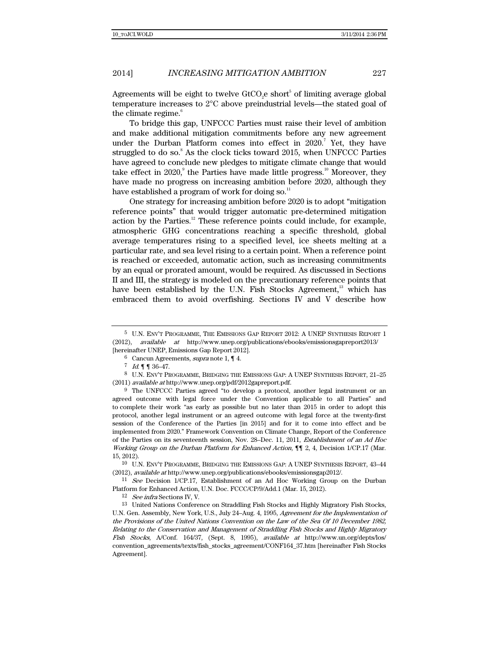Agreements will be eight to twelve  $\rm GtCO_2$ e short $^5$  of limiting average global temperature increases to 2°C above preindustrial levels—the stated goal of the climate regime.<sup>6</sup>

To bridge this gap, UNFCCC Parties must raise their level of ambition and make additional mitigation commitments before any new agreement under the Durban Platform comes into effect in  $2020$ .<sup>7</sup> Yet, they have struggled to do so.<sup>8</sup> As the clock ticks toward 2015, when UNFCCC Parties have agreed to conclude new pledges to mitigate climate change that would take effect in  $2020$ , the Parties have made little progress.<sup>10</sup> Moreover, they have made no progress on increasing ambition before 2020, although they have established a program of work for doing so. $<sup>11</sup>$ </sup>

One strategy for increasing ambition before 2020 is to adopt "mitigation reference points" that would trigger automatic pre-determined mitigation action by the Parties. $12$  These reference points could include, for example, atmospheric GHG concentrations reaching a specific threshold, global average temperatures rising to a specified level, ice sheets melting at a particular rate, and sea level rising to a certain point. When a reference point is reached or exceeded, automatic action, such as increasing commitments by an equal or prorated amount, would be required. As discussed in Sections II and III, the strategy is modeled on the precautionary reference points that have been established by the U.N. Fish Stocks Agreement,<sup>13</sup> which has embraced them to avoid overfishing. Sections IV and V describe how

<sup>5</sup> U.N. ENV'T PROGRAMME, THE EMISSIONS GAP REPORT 2012: A UNEP SYNTHESIS REPORT 1 (2012), available at http://www.unep.org/publications/ebooks/emissionsgapreport2013/ [hereinafter UNEP, Emissions Gap Report 2012].

<sup>6</sup> Cancun Agreements, supra note 1, ¶ 4.

 $7 \; Id. \P \P 36-47.$ 

<sup>8</sup> U.N. ENV'T PROGRAMME, BRIDGING THE EMISSIONS GAP: A UNEP SYNTHESIS REPORT, 21–25 (2011) available at http://www.unep.org/pdf/2012gapreport.pdf.

<sup>9</sup> The UNFCCC Parties agreed "to develop a protocol, another legal instrument or an agreed outcome with legal force under the Convention applicable to all Parties" and to complete their work "as early as possible but no later than 2015 in order to adopt this protocol, another legal instrument or an agreed outcome with legal force at the twenty-first session of the Conference of the Parties [in 2015] and for it to come into effect and be implemented from 2020." Framework Convention on Climate Change, Report of the Conference of the Parties on its seventeenth session, Nov. 28–Dec. 11, 2011, Establishment of an Ad Hoc Working Group on the Durban Platform for Enhanced Action, ¶¶ 2, 4, Decision 1/CP.17 (Mar. 15, 2012).

<sup>10</sup> U.N. ENV'T PROGRAMME, BRIDGING THE EMISSIONS GAP: A UNEP SYNTHESIS REPORT, 43–44 (2012), *available at* http://www.unep.org/publications/ebooks/emissionsgap2012/.<br><sup>11</sup> See Decision 1/CP.17, Establishment of an Ad Hoc Working Group on the Durban

Platform for Enhanced Action, U.N. Doc. FCCC/CP/9/Add.1 (Mar. 15, 2012).

<sup>12</sup> See infra Sections IV, V.

<sup>13</sup> United Nations Conference on Straddling Fish Stocks and Highly Migratory Fish Stocks, U.N. Gen. Assembly, New York, U.S., July 24–Aug. 4, 1995, Agreement for the Implementation of the Provisions of the United Nations Convention on the Law of the Sea Of 10 December 1982, Relating to the Conservation and Management of Straddling Fish Stocks and Highly Migratory Fish Stocks, A/Conf. 164/37, (Sept. 8, 1995), available at http://www.un.org/depts/los/ convention\_agreements/texts/fish\_stocks\_agreement/CONF164\_37.htm [hereinafter Fish Stocks Agreement].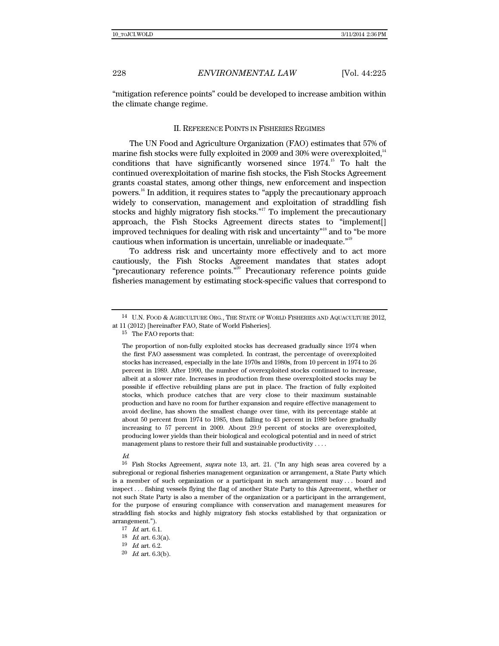"mitigation reference points" could be developed to increase ambition within the climate change regime.

### II. REFERENCE POINTS IN FISHERIES REGIMES

The UN Food and Agriculture Organization (FAO) estimates that 57% of marine fish stocks were fully exploited in 2009 and 30% were overexploited.<sup>14</sup> conditions that have significantly worsened since 1974.<sup>15</sup> To halt the continued overexploitation of marine fish stocks, the Fish Stocks Agreement grants coastal states, among other things, new enforcement and inspection powers.16 In addition, it requires states to "apply the precautionary approach widely to conservation, management and exploitation of straddling fish stocks and highly migratory fish stocks."<sup>17</sup> To implement the precautionary approach, the Fish Stocks Agreement directs states to "implement[] improved techniques for dealing with risk and uncertainty"18 and to "be more cautious when information is uncertain, unreliable or inadequate."19

To address risk and uncertainty more effectively and to act more cautiously, the Fish Stocks Agreement mandates that states adopt "precautionary reference points.<sup>"20</sup> Precautionary reference points guide fisheries management by estimating stock-specific values that correspond to

15 The FAO reports that:

The proportion of non-fully exploited stocks has decreased gradually since 1974 when the first FAO assessment was completed. In contrast, the percentage of overexploited stocks has increased, especially in the late 1970s and 1980s, from 10 percent in 1974 to 26 percent in 1989. After 1990, the number of overexploited stocks continued to increase, albeit at a slower rate. Increases in production from these overexploited stocks may be possible if effective rebuilding plans are put in place. The fraction of fully exploited stocks, which produce catches that are very close to their maximum sustainable production and have no room for further expansion and require effective management to avoid decline, has shown the smallest change over time, with its percentage stable at about 50 percent from 1974 to 1985, then falling to 43 percent in 1989 before gradually increasing to 57 percent in 2009. About 29.9 percent of stocks are overexploited, producing lower yields than their biological and ecological potential and in need of strict management plans to restore their full and sustainable productivity . . . .

Id.

16 Fish Stocks Agreement, supra note 13, art. 21. ("In any high seas area covered by a subregional or regional fisheries management organization or arrangement, a State Party which is a member of such organization or a participant in such arrangement may . . . board and inspect . . . fishing vessels flying the flag of another State Party to this Agreement, whether or not such State Party is also a member of the organization or a participant in the arrangement, for the purpose of ensuring compliance with conservation and management measures for straddling fish stocks and highly migratory fish stocks established by that organization or arrangement.").

<sup>14</sup> U.N. FOOD & AGRICULTURE ORG., THE STATE OF WORLD FISHERIES AND AQUACULTURE 2012, at 11 (2012) [hereinafter FAO, State of World Fisheries].

 $17$  *Id.* art. 6.1.

 $^{18}$   $\,$   $\!ld$  art. 6.3(a).

<sup>19</sup> Id. art. 6.2.

 $20$  *Id.* art. 6.3(b).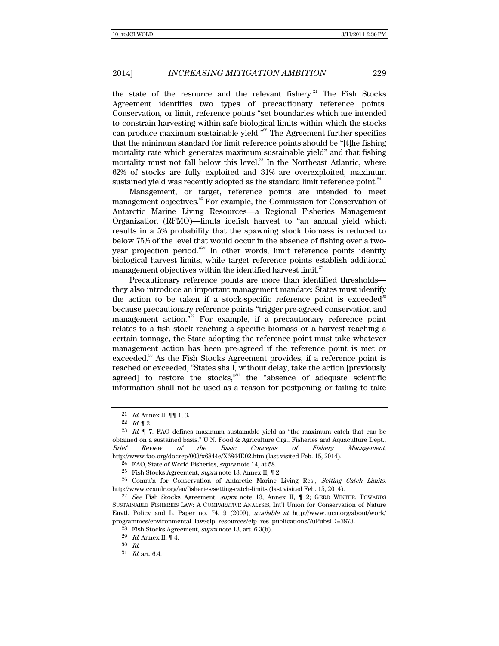the state of the resource and the relevant fishery.<sup>21</sup> The Fish Stocks Agreement identifies two types of precautionary reference points. Conservation, or limit, reference points "set boundaries which are intended to constrain harvesting within safe biological limits within which the stocks can produce maximum sustainable yield."<sup>22</sup> The Agreement further specifies that the minimum standard for limit reference points should be "[t]he fishing mortality rate which generates maximum sustainable yield" and that fishing mortality must not fall below this level.<sup>23</sup> In the Northeast Atlantic, where 62% of stocks are fully exploited and 31% are overexploited, maximum sustained yield was recently adopted as the standard limit reference point.<sup>24</sup>

Management, or target, reference points are intended to meet management objectives.25 For example, the Commission for Conservation of Antarctic Marine Living Resources—a Regional Fisheries Management Organization (RFMO)—limits icefish harvest to "an annual yield which results in a 5% probability that the spawning stock biomass is reduced to below 75% of the level that would occur in the absence of fishing over a twoyear projection period."<sup>26</sup> In other words, limit reference points identify biological harvest limits, while target reference points establish additional management objectives within the identified harvest limit. $27$ 

Precautionary reference points are more than identified thresholds they also introduce an important management mandate: States must identify the action to be taken if a stock-specific reference point is exceeded<sup>28</sup> because precautionary reference points "trigger pre-agreed conservation and management action."<sup>29</sup> For example, if a precautionary reference point relates to a fish stock reaching a specific biomass or a harvest reaching a certain tonnage, the State adopting the reference point must take whatever management action has been pre-agreed if the reference point is met or exceeded.<sup>30</sup> As the Fish Stocks Agreement provides, if a reference point is reached or exceeded, "States shall, without delay, take the action [previously agreed] to restore the stocks, $n_{31}$  the "absence of adequate scientific information shall not be used as a reason for postponing or failing to take

<sup>21</sup> *Id.* Annex II,  $\P\P$  1, 3.

<sup>22</sup>  $Id. \P$  2.

 $23$  *Id.*  $\parallel$  7. FAO defines maximum sustainable yield as "the maximum catch that can be obtained on a sustained basis." U.N. Food & Agriculture Org., Fisheries and Aquaculture Dept., Brief Review of the Basic Concepts of Fishery Management, http://www.fao.org/docrep/003/x6844e/X6844E02.htm (last visited Feb. 15, 2014).

<sup>24</sup> FAO, State of World Fisheries, supra note 14, at 58.

 $^{25}$  Fish Stocks Agreement, supra note 13, Annex II,  $\P$  2.

<sup>&</sup>lt;sup>26</sup> Comm'n for Conservation of Antarctic Marine Living Res., Setting Catch Limits, http://www.ccamlr.org/en/fisheries/setting-catch-limits (last visited Feb. 15, 2014).

<sup>&</sup>lt;sup>27</sup> See Fish Stocks Agreement, supra note 13, Annex II,  $\P$  2; GERD WINTER, TOWARDS SUSTAINABLE FISHERIES LAW: A COMPARATIVE ANALYSIS, Int'l Union for Conservation of Nature Envtl. Policy and L. Paper no. 74, 9 (2009), available at http://www.iucn.org/about/work/ programmes/environmental\_law/elp\_resources/elp\_res\_publications/?uPubsID=3873.

<sup>&</sup>lt;sup>28</sup> Fish Stocks Agreement, *supra* note 13, art.  $6.3(b)$ .

 $^{29}$   $\,$   $Id.$  Annex II,  $\P$  4.

<sup>30</sup> Id.

<sup>31</sup> Id. art. 6.4.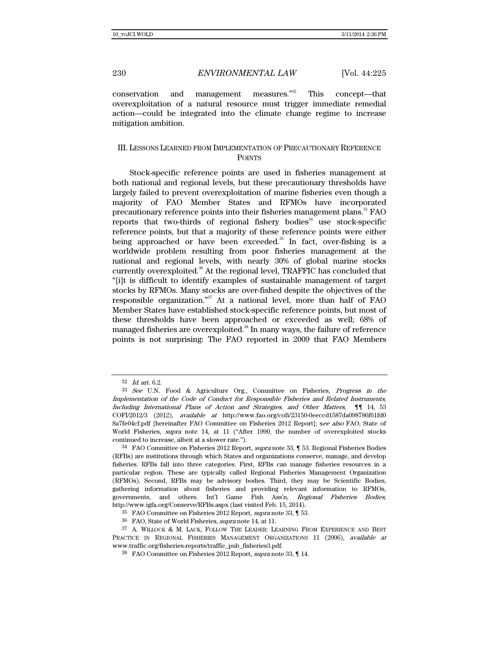conservation and management measures."<sup>32</sup> This concept—that overexploitation of a natural resource must trigger immediate remedial action—could be integrated into the climate change regime to increase mitigation ambition.

## III. LESSONS LEARNED FROM IMPLEMENTATION OF PRECAUTIONARY REFERENCE POINTS

Stock-specific reference points are used in fisheries management at both national and regional levels, but these precautionary thresholds have largely failed to prevent overexploitation of marine fisheries even though a majority of FAO Member States and RFMOs have incorporated precautionary reference points into their fisheries management plans.<sup>33</sup> FAO reports that two-thirds of regional fishery bodies $34$  use stock-specific reference points, but that a majority of these reference points were either being approached or have been exceeded.<sup>35</sup> In fact, over-fishing is a worldwide problem resulting from poor fisheries management at the national and regional levels, with nearly 30% of global marine stocks currently overexploited.36 At the regional level, TRAFFIC has concluded that "[i]t is difficult to identify examples of sustainable management of target stocks by RFMOs. Many stocks are over-fished despite the objectives of the responsible organization."37 At a national level, more than half of FAO Member States have established stock-specific reference points, but most of these thresholds have been approached or exceeded as well; 68% of managed fisheries are overexploited.<sup>38</sup> In many ways, the failure of reference points is not surprising: The FAO reported in 2009 that FAO Members

 $32$  *Id.* art. 6.2.

<sup>33</sup> See U.N. Food & Agriculture Org., Committee on Fisheries, Progress in the Implementation of the Code of Conduct for Responsible Fisheries and Related Instruments, Including International Plans of Action and Strategies, and Other Matters, ¶¶ 14, 53 COFI/2012/3 (2012), available at http://www.fao.org/cofi/23150-0eeccd1587da098786f61fd0 8a7fe04cf.pdf [hereinafter FAO Committee on Fisheries 2012 Report]; see also FAO, State of World Fisheries, supra note 14, at 11 ("After 1990, the number of overexploited stocks continued to increase, albeit at a slower rate.").

<sup>34</sup> FAO Committee on Fisheries 2012 Report, supra note 33, ¶ 53. Regional Fisheries Bodies (RFBs) are institutions through which States and organizations conserve, manage, and develop fisheries. RFBs fall into three categories. First, RFBs can manage fisheries resources in a particular region. These are typically called Regional Fisheries Management Organization (RFMOs). Second, RFBs may be advisory bodies. Third, they may be Scientific Bodies, gathering information about fisheries and providing relevant information to RFMOs, governments, and others. Int'l Game Fish Ass'n, Regional Fisheries Bodies, http://www.igfa.org/Conserve/RFBs.aspx (last visited Feb. 15, 2014).

<sup>35</sup> FAO Committee on Fisheries 2012 Report, supra note 33, ¶ 53.

<sup>36</sup> FAO, State of World Fisheries, supra note 14, at 11.

<sup>37</sup> A. WILLOCK & M. LACK, FOLLOW THE LEADER: LEARNING FROM EXPERIENCE AND BEST PRACTICE IN REGIONAL FISHERIES MANAGEMENT ORGANIZATIONS 11 (2006), available at www.traffic.org/fisheries-reports/traffic\_pub\_fisheries3.pdf.

<sup>38</sup> FAO Committee on Fisheries 2012 Report, supra note 33, ¶ 14.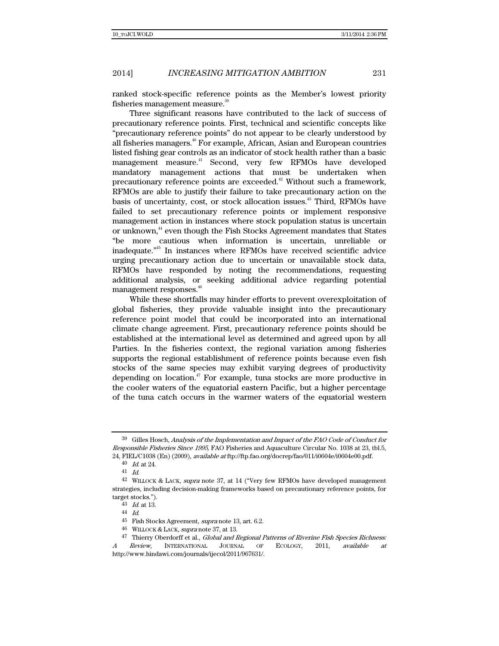ranked stock-specific reference points as the Member's lowest priority fisheries management measure.<sup>39</sup>

Three significant reasons have contributed to the lack of success of precautionary reference points. First, technical and scientific concepts like "precautionary reference points" do not appear to be clearly understood by all fisheries managers.<sup>40</sup> For example, African, Asian and European countries listed fishing gear controls as an indicator of stock health rather than a basic management measure.<sup>41</sup> Second, very few RFMOs have developed mandatory management actions that must be undertaken when precautionary reference points are exceeded. $42$  Without such a framework, RFMOs are able to justify their failure to take precautionary action on the basis of uncertainty, cost, or stock allocation issues.<sup>43</sup> Third, RFMOs have failed to set precautionary reference points or implement responsive management action in instances where stock population status is uncertain or unknown,<sup>44</sup> even though the Fish Stocks Agreement mandates that States "be more cautious when information is uncertain, unreliable or inadequate."45 In instances where RFMOs have received scientific advice urging precautionary action due to uncertain or unavailable stock data, RFMOs have responded by noting the recommendations, requesting additional analysis, or seeking additional advice regarding potential management responses.<sup>46</sup>

While these shortfalls may hinder efforts to prevent overexploitation of global fisheries, they provide valuable insight into the precautionary reference point model that could be incorporated into an international climate change agreement. First, precautionary reference points should be established at the international level as determined and agreed upon by all Parties. In the fisheries context, the regional variation among fisheries supports the regional establishment of reference points because even fish stocks of the same species may exhibit varying degrees of productivity depending on location. $47$  For example, tuna stocks are more productive in the cooler waters of the equatorial eastern Pacific, but a higher percentage of the tuna catch occurs in the warmer waters of the equatorial western

<sup>39</sup> Gilles Hosch, Analysis of the Implementation and Impact of the FAO Code of Conduct for Responsible Fisheries Since 1995, FAO Fisheries and Aquaculture Circular No. 1038 at 23, tbl.5, 24, FIEL/C1038 (En) (2009), available at ftp://ftp.fao.org/docrep/fao/011/i0604e/i0604e00.pdf.

<sup>40</sup> Id. at 24.

<sup>41</sup> Id.

<sup>42</sup> WILLOCK & LACK, supra note 37, at 14 ("Very few RFMOs have developed management strategies, including decision-making frameworks based on precautionary reference points, for target stocks.").

<sup>43</sup> Id. at 13.

<sup>44</sup> Id.

<sup>45</sup> Fish Stocks Agreement, supra note 13, art. 6.2.

 $46$  WILLOCK & LACK, supra note 37, at 13.

<sup>47</sup> Thierry Oberdorff et al., Global and Regional Patterns of Riverine Fish Species Richness: A Review, INTERNATIONAL JOURNAL OF ECOLOGY, 2011, available at http://www.hindawi.com/journals/ijecol/2011/967631/.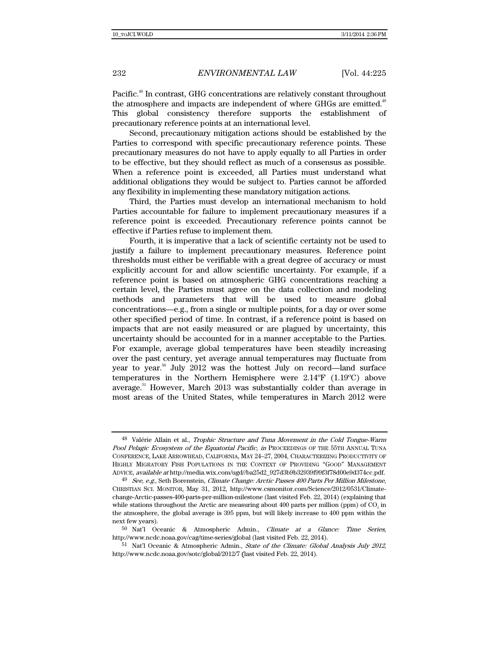Pacific.<sup>48</sup> In contrast, GHG concentrations are relatively constant throughout the atmosphere and impacts are independent of where GHGs are emitted.<sup>49</sup> This global consistency therefore supports the establishment of precautionary reference points at an international level.

Second, precautionary mitigation actions should be established by the Parties to correspond with specific precautionary reference points. These precautionary measures do not have to apply equally to all Parties in order to be effective, but they should reflect as much of a consensus as possible. When a reference point is exceeded, all Parties must understand what additional obligations they would be subject to. Parties cannot be afforded any flexibility in implementing these mandatory mitigation actions.

Third, the Parties must develop an international mechanism to hold Parties accountable for failure to implement precautionary measures if a reference point is exceeded. Precautionary reference points cannot be effective if Parties refuse to implement them.

Fourth, it is imperative that a lack of scientific certainty not be used to justify a failure to implement precautionary measures. Reference point thresholds must either be verifiable with a great degree of accuracy or must explicitly account for and allow scientific uncertainty. For example, if a reference point is based on atmospheric GHG concentrations reaching a certain level, the Parties must agree on the data collection and modeling methods and parameters that will be used to measure global concentrations—e.g., from a single or multiple points, for a day or over some other specified period of time. In contrast, if a reference point is based on impacts that are not easily measured or are plagued by uncertainty, this uncertainty should be accounted for in a manner acceptable to the Parties. For example, average global temperatures have been steadily increasing over the past century, yet average annual temperatures may fluctuate from year to year.<sup>50</sup> July 2012 was the hottest July on record—land surface temperatures in the Northern Hemisphere were 2.14ºF (1.19ºC) above average.<sup>51</sup> However, March 2013 was substantially colder than average in most areas of the United States, while temperatures in March 2012 were

<sup>48</sup> Valérie Allain et al., Trophic Structure and Tuna Movement in the Cold Tongue-Warm Pool Pelagic Ecosystem of the Equatorial Pacific, in PROCEEDINGS OF THE 55TH ANNUAL TUNA CONFERENCE, LAKE ARROWHEAD, CALIFORNIA, MAY 24–27, 2004, CHARACTERIZING PRODUCTIVITY OF HIGHLY MIGRATORY FISH POPULATIONS IN THE CONTEXT OF PROVIDING "GOOD" MANAGEMENT ADVICE, available at http://media.wix.com/ugd//ba25d2\_927d3b9b32939f99f3f78d00e9d374cc.pdf.

<sup>49</sup> See, e.g., Seth Borenstein, Climate Change: Arctic Passes 400 Parts Per Million Milestone, CHRISTIAN SCI. MONITOR, May 31, 2012, http://www.csmonitor.com/Science/2012/0531/Climatechange-Arctic-passes-400-parts-per-million-milestone (last visited Feb. 22, 2014) (explaining that while stations throughout the Arctic are measuring about  $400$  parts per million (ppm) of  $CO<sub>2</sub>$  in the atmosphere, the global average is 395 ppm, but will likely increase to 400 ppm within the next few years).

<sup>50</sup> Nat'l Oceanic & Atmospheric Admin., Climate at a Glance: Time Series, http://www.ncdc.noaa.gov/cag/time-series/global (last visited Feb. 22, 2014).

<sup>51</sup> Nat'l Oceanic & Atmospheric Admin., State of the Climate: Global Analysis July 2012, http://www.ncdc.noaa.gov/sotc/global/2012/7 (last visited Feb. 22, 2014).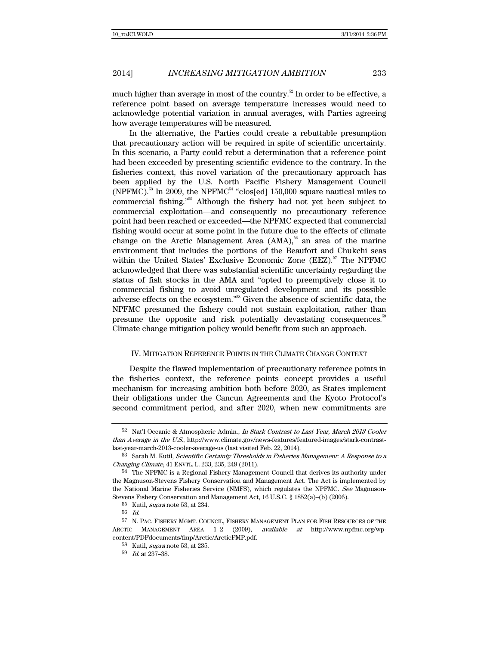much higher than average in most of the country.<sup>52</sup> In order to be effective, a reference point based on average temperature increases would need to acknowledge potential variation in annual averages, with Parties agreeing how average temperatures will be measured.

In the alternative, the Parties could create a rebuttable presumption that precautionary action will be required in spite of scientific uncertainty. In this scenario, a Party could rebut a determination that a reference point had been exceeded by presenting scientific evidence to the contrary. In the fisheries context, this novel variation of the precautionary approach has been applied by the U.S. North Pacific Fishery Management Council (NPFMC).<sup>53</sup> In 2009, the NPFMC<sup>54</sup> "clos[ed] 150,000 square nautical miles to commercial fishing."55 Although the fishery had not yet been subject to commercial exploitation—and consequently no precautionary reference point had been reached or exceeded—the NPFMC expected that commercial fishing would occur at some point in the future due to the effects of climate change on the Arctic Management Area (AMA), $56$  an area of the marine environment that includes the portions of the Beaufort and Chukchi seas within the United States' Exclusive Economic Zone (EEZ).<sup>57</sup> The NPFMC acknowledged that there was substantial scientific uncertainty regarding the status of fish stocks in the AMA and "opted to preemptively close it to commercial fishing to avoid unregulated development and its possible adverse effects on the ecosystem."58 Given the absence of scientific data, the NPFMC presumed the fishery could not sustain exploitation, rather than presume the opposite and risk potentially devastating consequences.<sup>56</sup> Climate change mitigation policy would benefit from such an approach.

## IV. MITIGATION REFERENCE POINTS IN THE CLIMATE CHANGE CONTEXT

Despite the flawed implementation of precautionary reference points in the fisheries context, the reference points concept provides a useful mechanism for increasing ambition both before 2020, as States implement their obligations under the Cancun Agreements and the Kyoto Protocol's second commitment period, and after 2020, when new commitments are

<sup>52</sup> Nat'l Oceanic & Atmospheric Admin., In Stark Contrast to Last Year, March 2013 Cooler than Average in the U.S., http://www.climate.gov/news-features/featured-images/stark-contrastlast-year-march-2013-cooler-average-us (last visited Feb. 22, 2014).

<sup>53</sup> Sarah M. Kutil, Scientific Certainty Thresholds in Fisheries Management: A Response to a Changing Climate, 41 ENVTL. L. 233, 235, 249 (2011).

<sup>54</sup> The NPFMC is a Regional Fishery Management Council that derives its authority under the Magnuson-Stevens Fishery Conservation and Management Act. The Act is implemented by the National Marine Fisheries Service (NMFS), which regulates the NPFMC. See Magnuson-Stevens Fishery Conservation and Management Act, 16 U.S.C. § 1852(a)–(b) (2006).

<sup>55</sup> Kutil, supra note 53, at 234.

<sup>56</sup> Id.

<sup>57</sup> N. PAC. FISHERY MGMT. COUNCIL, FISHERY MANAGEMENT PLAN FOR FISH RESOURCES OF THE ARCTIC MANAGEMENT AREA 1-2 (2009), available at http://www.npfmc.org/wpcontent/PDFdocuments/fmp/Arctic/ArcticFMP.pdf.

<sup>58</sup> Kutil, supra note 53, at 235.

<sup>59</sup> Id. at 237–38.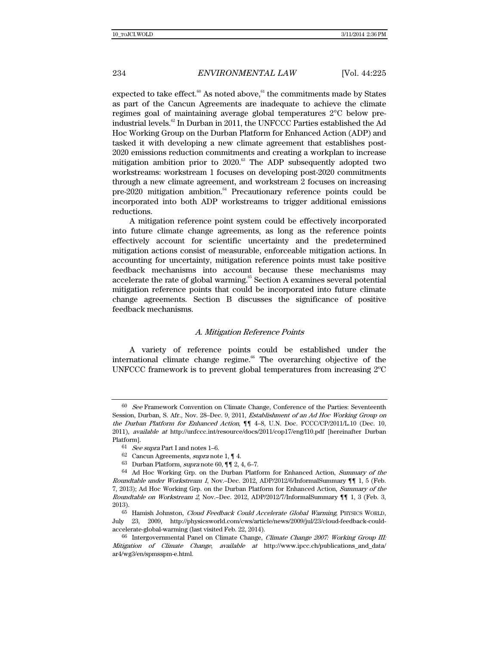expected to take effect. $60$  As noted above, $61$  the commitments made by States as part of the Cancun Agreements are inadequate to achieve the climate regimes goal of maintaining average global temperatures 2°C below preindustrial levels.62 In Durban in 2011, the UNFCCC Parties established the Ad Hoc Working Group on the Durban Platform for Enhanced Action (ADP) and tasked it with developing a new climate agreement that establishes post-2020 emissions reduction commitments and creating a workplan to increase mitigation ambition prior to  $2020$ .<sup>63</sup> The ADP subsequently adopted two workstreams: workstream 1 focuses on developing post-2020 commitments through a new climate agreement, and workstream 2 focuses on increasing  $pre-2020$  mitigation ambition. $64$  Precautionary reference points could be incorporated into both ADP workstreams to trigger additional emissions reductions.

A mitigation reference point system could be effectively incorporated into future climate change agreements, as long as the reference points effectively account for scientific uncertainty and the predetermined mitigation actions consist of measurable, enforceable mitigation actions. In accounting for uncertainty, mitigation reference points must take positive feedback mechanisms into account because these mechanisms may accelerate the rate of global warming.<sup>65</sup> Section A examines several potential mitigation reference points that could be incorporated into future climate change agreements. Section B discusses the significance of positive feedback mechanisms.

## A. Mitigation Reference Points

A variety of reference points could be established under the international climate change regime.<sup>66</sup> The overarching objective of the UNFCCC framework is to prevent global temperatures from increasing 2ºC

<sup>&</sup>lt;sup>60</sup> See Framework Convention on Climate Change, Conference of the Parties: Seventeenth Session, Durban, S. Afr., Nov. 28–Dec. 9, 2011, Establishment of an Ad Hoc Working Group on the Durban Platform for Enhanced Action, ¶¶ 4–8, U.N. Doc. FCCC/CP/2011/L.10 (Dec. 10, 2011), available at http://unfccc.int/resource/docs/2011/cop17/eng/l10.pdf [hereinafter Durban Platform].

 $61$  *See supra* Part I and notes 1–6.

<sup>62</sup> Cancun Agreements, *supra* note 1,  $\P$  4.

<sup>63</sup> Durban Platform, supra note 60, ¶¶ 2, 4, 6–7.

 $^{64}\,$  Ad Hoc Working Grp. on the Durban Platform for Enhanced Action, Summary of the Roundtable under Workstream 1, Nov.–Dec. 2012, ADP/2012/6/InformalSummary ¶¶ 1, 5 (Feb. 7, 2013); Ad Hoc Working Grp. on the Durban Platform for Enhanced Action, Summary of the Roundtable on Workstream 2, Nov.–Dec. 2012, ADP/2012/7/InformalSummary ¶¶ 1, 3 (Feb. 3, 2013).

<sup>65</sup> Hamish Johnston, Cloud Feedback Could Accelerate Global Warming, PHYSICS WORLD, July 23, 2009, http://physicsworld.com/cws/article/news/2009/jul/23/cloud-feedback-couldaccelerate-global-warming (last visited Feb. 22, 2014).

<sup>66</sup> Intergovernmental Panel on Climate Change, Climate Change 2007: Working Group III: Mitigation of Climate Change, available at http://www.ipcc.ch/publications\_and\_data/ ar4/wg3/en/spmsspm-e.html.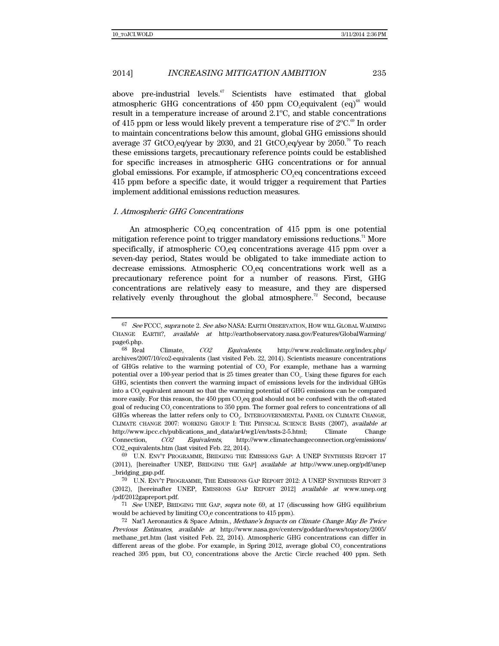above pre-industrial levels. $67$  Scientists have estimated that global atmospheric GHG concentrations of  $450$  ppm  $\mathrm{CO}_2$ equivalent  $\mathrm{(eq)}^\mathrm{68}$  would result in a temperature increase of around 2.1ºC, and stable concentrations of 415 ppm or less would likely prevent a temperature rise of  $2^{\circ}C^{69}$  In order to maintain concentrations below this amount, global GHG emissions should average 37 GtCO<sub>2</sub>eq/year by 2030, and 21 GtCO<sub>2</sub>eq/year by 2050.<sup>70</sup> To reach these emissions targets, precautionary reference points could be established for specific increases in atmospheric GHG concentrations or for annual global emissions. For example, if atmospheric CO2eq concentrations exceed 415 ppm before a specific date, it would trigger a requirement that Parties implement additional emissions reduction measures.

## 1. Atmospheric GHG Concentrations

An atmospheric  $CO<sub>2</sub>$ eq concentration of 415 ppm is one potential mitigation reference point to trigger mandatory emissions reductions.<sup>71</sup> More specifically, if atmospheric  $\mathrm{CO}_2$ eq concentrations average 415 ppm over a seven-day period, States would be obligated to take immediate action to decrease emissions. Atmospheric CO<sub>2</sub>eq concentrations work well as a precautionary reference point for a number of reasons. First, GHG concentrations are relatively easy to measure, and they are dispersed relatively evenly throughout the global atmosphere.<sup>72</sup> Second, because

<sup>&</sup>lt;sup>67</sup> See FCCC, supra note 2. See also NASA: EARTH OBSERVATION, HOW WILL GLOBAL WARMING CHANGE EARTH?, available at http://earthobservatory.nasa.gov/Features/GlobalWarming/

 $_{\rm 68~Real}^{\rm page6.}$ Climate,  $CO2$  Equivalents, http://www.realclimate.org/index.php/ archives/2007/10/co2-equivalents (last visited Feb. 22, 2014). Scientists measure concentrations of GHGs relative to the warming potential of  $CO<sub>2</sub>$ . For example, methane has a warming potential over a 100-year period that is 25 times greater than CO2. Using these figures for each GHG, scientists then convert the warming impact of emissions levels for the individual GHGs into a CO<sub>2</sub> equivalent amount so that the warming potential of GHG emissions can be compared more easily. For this reason, the 450 ppm CO<sub>2</sub>eq goal should not be confused with the oft-stated goal of reducing CO<sub>2</sub> concentrations to 350 ppm. The former goal refers to concentrations of all GHGs whereas the latter refers only to CO2. INTERGOVERNMENTAL PANEL ON CLIMATE CHANGE, CLIMATE CHANGE 2007: WORKING GROUP I: THE PHYSICAL SCIENCE BASIS (2007), available at http://www.ipcc.ch/publications\_and\_data/ar4/wg1/en/tssts-2-5.html; Climate Change Connection, CO2 Equivalents, http://www.climatechangeconnection.org/emissions/ CO2\_equivalents.htm (last visited Feb. 22, 2014).

<sup>69</sup> U.N. ENV'T PROGRAMME, BRIDGING THE EMISSIONS GAP: A UNEP SYNTHESIS REPORT 17 (2011), [hereinafter UNEP, BRIDGING THE GAP] available at http://www.unep.org/pdf/unep \_bridging\_gap.pdf.

<sup>70</sup> U.N. ENV'T PROGRAMME, THE EMISSIONS GAP REPORT 2012: A UNEP SYNTHESIS REPORT 3 (2012), [hereinafter UNEP, EMISSIONS GAP REPORT 2012] available at www.unep.org /pdf/2012gapreport.pdf.

<sup>71</sup> See UNEP, BRIDGING THE GAP, supra note 69, at 17 (discussing how GHG equilibrium would be achieved by limiting  $CO<sub>2</sub>e$  concentrations to 415 ppm).

<sup>72</sup> Nat'l Aeronautics & Space Admin., Methane's Impacts on Climate Change May Be Twice Previous Estimates, available at http://www.nasa.gov/centers/goddard/news/topstory/2005/ methane\_prt.htm (last visited Feb. 22, 2014). Atmospheric GHG concentrations can differ in different areas of the globe. For example, in Spring 2012, average global  $CO<sub>2</sub>$  concentrations reached 395 ppm, but CO<sub>2</sub> concentrations above the Arctic Circle reached 400 ppm. Seth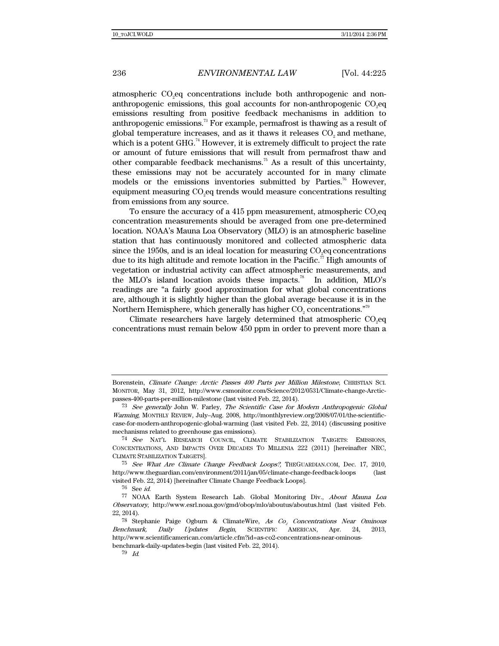atmospheric  $\rm CO_{2}$ eq concentrations include both anthropogenic and nonanthropogenic emissions, this goal accounts for non-anthropogenic  $\mathrm{CO}_2\mathrm{eq}$ emissions resulting from positive feedback mechanisms in addition to anthropogenic emissions.73 For example, permafrost is thawing as a result of global temperature increases, and as it thaws it releases  $CO<sub>2</sub>$  and methane, which is a potent  $GHG<sup>74</sup>$  However, it is extremely difficult to project the rate or amount of future emissions that will result from permafrost thaw and other comparable feedback mechanisms.<sup>75</sup> As a result of this uncertainty, these emissions may not be accurately accounted for in many climate models or the emissions inventories submitted by Parties.<sup>76</sup> However, equipment measuring  $\mathrm{CO}_2$ eq trends would measure concentrations resulting from emissions from any source.

To ensure the accuracy of a 415 ppm measurement, atmospheric  $\mathrm{CO}_2$ eq concentration measurements should be averaged from one pre-determined location. NOAA's Mauna Loa Observatory (MLO) is an atmospheric baseline station that has continuously monitored and collected atmospheric data since the 1950s, and is an ideal location for measuring  $\mathrm{CO}_2$ eq concentrations due to its high altitude and remote location in the Pacific.<sup>77</sup> High amounts of vegetation or industrial activity can affect atmospheric measurements, and the MLO's island location avoids these impacts.<sup>78</sup> In addition, MLO's readings are "a fairly good approximation for what global concentrations are, although it is slightly higher than the global average because it is in the Northern Hemisphere, which generally has higher  $\mathrm{CO}_2$  concentrations." $^{79}$ 

Climate researchers have largely determined that atmospheric  $CO<sub>2</sub>$ eq concentrations must remain below 450 ppm in order to prevent more than a

Borenstein, Climate Change: Arctic Passes 400 Parts per Million Milestone, CHRISTIAN SCI. MONITOR, May 31, 2012, http://www.csmonitor.com/Science/2012/0531/Climate-change-Arcticpasses-400-parts-per-million-milestone (last visited Feb. 22, 2014).

<sup>73</sup> See generally John W. Farley, The Scientific Case for Modern Anthropogenic Global Warming, MONTHLY REVIEW, July–Aug. 2008, http://monthlyreview.org/2008/07/01/the-scientificcase-for-modern-anthropogenic-global-warming (last visited Feb. 22, 2014) (discussing positive mechanisms related to greenhouse gas emissions).

<sup>74</sup> See NAT'L RESEARCH COUNCIL, CLIMATE STABILIZATION TARGETS: EMISSIONS, CONCENTRATIONS, AND IMPACTS OVER DECADES TO MILLENIA 222 (2011) [hereinafter NRC, CLIMATE STABILIZATION TARGETS].

<sup>75</sup> See What Are Climate Change Feedback Loops?, THEGUARDIAN.COM, Dec. 17, 2010, http://www.theguardian.com/environment/2011/jan/05/climate-change-feedback-loops (last visited Feb. 22, 2014) [hereinafter Climate Change Feedback Loops].

<sup>76</sup> See id.

<sup>77</sup> NOAA Earth System Research Lab. Global Monitoring Div., About Mauna Loa Observatory, http://www.esrl.noaa.gov/gmd/obop/mlo/aboutus/aboutus.html (last visited Feb. 22, 2014).

<sup>&</sup>lt;sup>78</sup> Stephanie Paige Ogburn & ClimateWire, As  $Co<sub>2</sub>$  Concentrations Near Ominous Benchmark, Daily Updates Begin, SCIENTIFIC AMERICAN, Apr. 24, 2013, http://www.scientificamerican.com/article.cfm?id=as-co2-concentrations-near-ominousbenchmark-daily-updates-begin (last visited Feb. 22, 2014).

 $79$  Id.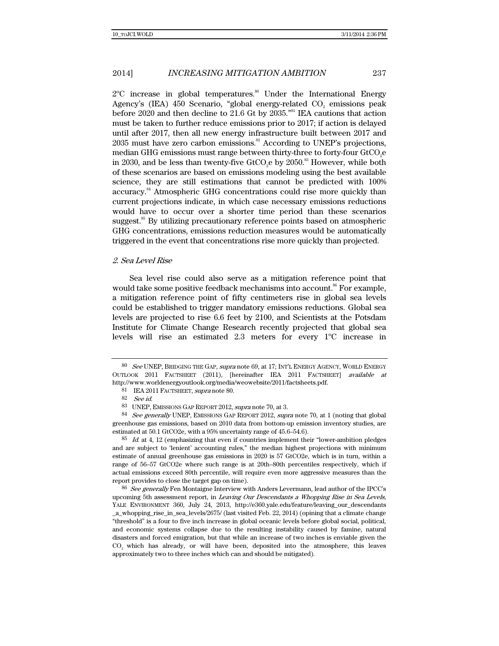$2^{\circ}$ C increase in global temperatures.<sup>80</sup> Under the International Energy Agency's (IEA) 450 Scenario, "global energy-related  $\rm CO_{2}$  emissions peak before 2020 and then decline to 21.6 Gt by 2035."81 IEA cautions that action must be taken to further reduce emissions prior to 2017; if action is delayed until after 2017, then all new energy infrastructure built between 2017 and  $2035$  must have zero carbon emissions.<sup>82</sup> According to UNEP's projections, median GHG emissions must range between thirty-three to forty-four  $\rm GtCO_2 e$ in 2030, and be less than twenty-five GtCO<sub>2</sub>e by 2050.<sup>83</sup> However, while both of these scenarios are based on emissions modeling using the best available science, they are still estimations that cannot be predicted with 100% accuracy.<sup>84</sup> Atmospheric GHG concentrations could rise more quickly than current projections indicate, in which case necessary emissions reductions would have to occur over a shorter time period than these scenarios suggest.<sup>85</sup> By utilizing precautionary reference points based on atmospheric GHG concentrations, emissions reduction measures would be automatically triggered in the event that concentrations rise more quickly than projected.

## 2. Sea Level Rise

Sea level rise could also serve as a mitigation reference point that would take some positive feedback mechanisms into account.<sup>86</sup> For example, a mitigation reference point of fifty centimeters rise in global sea levels could be established to trigger mandatory emissions reductions. Global sea levels are projected to rise 6.6 feet by 2100, and Scientists at the Potsdam Institute for Climate Change Research recently projected that global sea levels will rise an estimated 2.3 meters for every 1ºC increase in

<sup>80</sup> See UNEP, BRIDGING THE GAP, supra note 69, at 17; INT'L ENERGY AGENCY, WORLD ENERGY OUTLOOK 2011 FACTSHEET (2011), [hereinafter IEA 2011 FACTSHEET] available at http://www.worldenergyoutlook.org/media/weowebsite/2011/factsheets.pdf.

<sup>81</sup> IEA 2011 FACTSHEET, supra note 80.

<sup>82</sup> See id.

<sup>83</sup> UNEP, EMISSIONS GAP REPORT 2012, supra note 70, at 3.

<sup>84</sup> See generally UNEP, EMISSIONS GAP REPORT 2012, supra note 70, at 1 (noting that global greenhouse gas emissions, based on 2010 data from bottom-up emission inventory studies, are estimated at 50.1 GtCO2e, with a 95% uncertainty range of 45.6–54.6).

 $85$  *Id.* at 4, 12 (emphasizing that even if countries implement their "lower-ambition pledges" and are subject to 'lenient' accounting rules," the median highest projections with minimum estimate of annual greenhouse gas emissions in 2020 is 57 GtCO2e, which is in turn, within a range of 56–57 GtCO2e where such range is at 20th–80th percentiles respectively, which if actual emissions exceed 80th percentile, will require even more aggressive measures than the report provides to close the target gap on time).

<sup>86</sup> See generally Fen Montaigne Interview with Anders Levermann, lead author of the IPCC's upcoming 5th assessment report, in Leaving Our Descendants a Whopping Rise in Sea Levels, YALE ENVIRONMENT 360, July 24, 2013, http://e360.yale.edu/feature/leaving\_our\_descendants \_a\_whopping\_rise\_in\_sea\_levels/2675/ (last visited Feb. 22, 2014) (opining that a climate change "threshold" is a four to five inch increase in global oceanic levels before global social, political, and economic systems collapse due to the resulting instability caused by famine, natural disasters and forced emigration, but that while an increase of two inches is enviable given the CO2 which has already, or will have been, deposited into the atmosphere, this leaves approximately two to three inches which can and should be mitigated).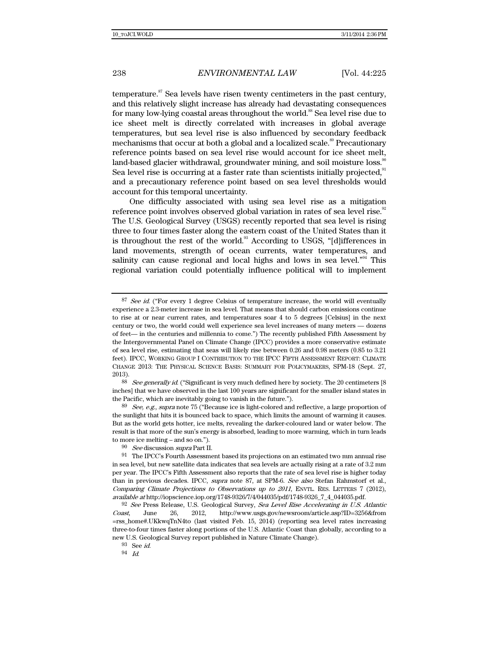temperature. $87$  Sea levels have risen twenty centimeters in the past century, and this relatively slight increase has already had devastating consequences for many low-lying coastal areas throughout the world.<sup>88</sup> Sea level rise due to ice sheet melt is directly correlated with increases in global average temperatures, but sea level rise is also influenced by secondary feedback mechanisms that occur at both a global and a localized scale.<sup>89</sup> Precautionary reference points based on sea level rise would account for ice sheet melt, land-based glacier withdrawal, groundwater mining, and soil moisture loss.<sup>80</sup> Sea level rise is occurring at a faster rate than scientists initially projected.<sup>91</sup> and a precautionary reference point based on sea level thresholds would account for this temporal uncertainty.

One difficulty associated with using sea level rise as a mitigation reference point involves observed global variation in rates of sea level rise.<sup>92</sup> The U.S. Geological Survey (USGS) recently reported that sea level is rising three to four times faster along the eastern coast of the United States than it is throughout the rest of the world.<sup>93</sup> According to USGS, "[d]ifferences in land movements, strength of ocean currents, water temperatures, and salinity can cause regional and local highs and lows in sea level."<sup>94</sup> This regional variation could potentially influence political will to implement

<sup>88</sup> See generally id. ("Significant is very much defined here by society. The 20 centimeters [8] inches] that we have observed in the last 100 years are significant for the smaller island states in the Pacific, which are inevitably going to vanish in the future.").

 $89$  See, e.g., supra note 75 ("Because ice is light-colored and reflective, a large proportion of the sunlight that hits it is bounced back to space, which limits the amount of warming it causes. But as the world gets hotter, ice melts, revealing the darker-coloured land or water below. The result is that more of the sun's energy is absorbed, leading to more warming, which in turn leads to more ice melting – and so on.").

93 See id.

94 Id.

<sup>87</sup> See id. ("For every 1 degree Celsius of temperature increase, the world will eventually experience a 2.3-meter increase in sea level. That means that should carbon emissions continue to rise at or near current rates, and temperatures soar 4 to 5 degrees [Celsius] in the next century or two, the world could well experience sea level increases of many meters — dozens of feet— in the centuries and millennia to come.") The recently published Fifth Assessment by the Intergovernmental Panel on Climate Change (IPCC) provides a more conservative estimate of sea level rise, estimating that seas will likely rise between 0.26 and 0.98 meters (0.85 to 3.21 feet). IPCC, WORKING GROUP I CONTRIBUTION TO THE IPCC FIFTH ASSESSMENT REPORT: CLIMATE CHANGE 2013: THE PHYSICAL SCIENCE BASIS: SUMMARY FOR POLICYMAKERS, SPM-18 (Sept. 27, 2013).

<sup>90</sup> See discussion supra Part II.

<sup>91</sup> The IPCC's Fourth Assessment based its projections on an estimated two mm annual rise in sea level, but new satellite data indicates that sea levels are actually rising at a rate of 3.2 mm per year. The IPCC's Fifth Assessment also reports that the rate of sea level rise is higher today than in previous decades. IPCC, supra note 87, at SPM-6. See also Stefan Rahmstorf et al., Comparing Climate Projections to Observations up to 2011, ENVTL. RES. LETTERS 7 (2012), available at http://iopscience.iop.org/1748-9326/7/4/044035/pdf/1748-9326\_7\_4\_044035.pdf.

<sup>92</sup> See Press Release, U.S. Geological Survey, Sea Level Rise Accelerating in U.S. Atlantic Coast, June 26, 2012, http://www.usgs.gov/newsroom/article.asp?ID=3256&from =rss\_home#.UKkwqTnN4to (last visited Feb. 15, 2014) (reporting sea level rates increasing three-to-four times faster along portions of the U.S. Atlantic Coast than globally, according to a new U.S. Geological Survey report published in Nature Climate Change).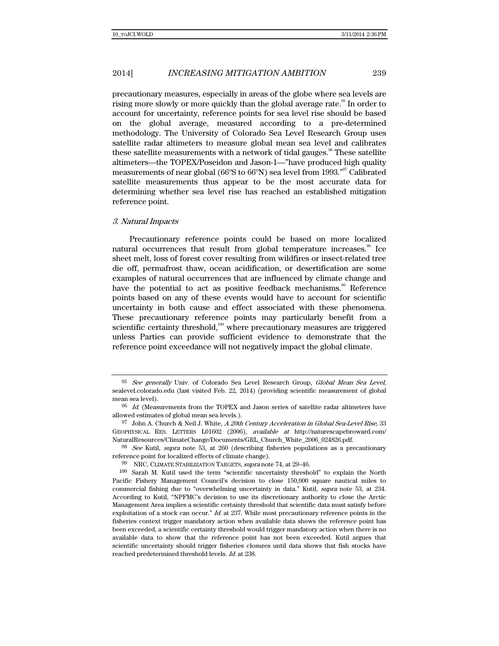precautionary measures, especially in areas of the globe where sea levels are rising more slowly or more quickly than the global average rate.<sup>95</sup> In order to account for uncertainty, reference points for sea level rise should be based on the global average, measured according to a pre-determined methodology. The University of Colorado Sea Level Research Group uses satellite radar altimeters to measure global mean sea level and calibrates these satellite measurements with a network of tidal gauges.<sup>96</sup> These satellite altimeters—the TOPEX/Poseidon and Jason-1—"have produced high quality measurements of near global (66ºS to 66ºN) sea level from 1993."97 Calibrated satellite measurements thus appear to be the most accurate data for determining whether sea level rise has reached an established mitigation reference point.

### 3. Natural Impacts

Precautionary reference points could be based on more localized natural occurrences that result from global temperature increases.<sup>98</sup> Ice sheet melt, loss of forest cover resulting from wildfires or insect-related tree die off, permafrost thaw, ocean acidification, or desertification are some examples of natural occurrences that are influenced by climate change and have the potential to act as positive feedback mechanisms.<sup>99</sup> Reference points based on any of these events would have to account for scientific uncertainty in both cause and effect associated with these phenomena. These precautionary reference points may particularly benefit from a scientific certainty threshold,<sup>100</sup> where precautionary measures are triggered unless Parties can provide sufficient evidence to demonstrate that the reference point exceedance will not negatively impact the global climate.

<sup>&</sup>lt;sup>95</sup> See generally Univ. of Colorado Sea Level Research Group, Global Mean Sea Level, sealevel.colorado.edu (last visited Feb. 22, 2014) (providing scientific measurement of global mean sea level).

 $96$  Id. (Measurements from the TOPEX and Jason series of satellite radar altimeters have allowed estimates of global mean sea levels.).

<sup>97</sup> John A. Church & Neil J. White, A 20th Century Acceleration in Global Sea-Level Rise, 33 GEOPHYSICAL RES. LETTERS L01602 (2006), available at http://naturescapebroward.com/ NaturalResources/ClimateChange/Documents/GRL\_Church\_White\_2006\_024826.pdf.

<sup>98</sup> See Kutil, supra note 53, at 260 (describing fisheries populations as a precautionary reference point for localized effects of climate change).

<sup>99</sup> NRC, CLIMATE STABILIZATION TARGETS, supra note 74, at 29-46.

<sup>100</sup> Sarah M. Kutil used the term "scientific uncertainty threshold" to explain the North Pacific Fishery Management Council's decision to close 150,000 square nautical miles to commercial fishing due to "overwhelming uncertainty in data." Kutil, supra note 53, at 234. According to Kutil, "NPFMC's decision to use its discretionary authority to close the Arctic Management Area implies a scientific certainty threshold that scientific data must satisfy before exploitation of a stock can occur." Id. at 237. While most precautionary reference points in the fisheries context trigger mandatory action when available data shows the reference point has been exceeded, a scientific certainty threshold would trigger mandatory action when there is no available data to show that the reference point has not been exceeded. Kutil argues that scientific uncertainty should trigger fisheries closures until data shows that fish stocks have reached predetermined threshold levels. Id. at 238.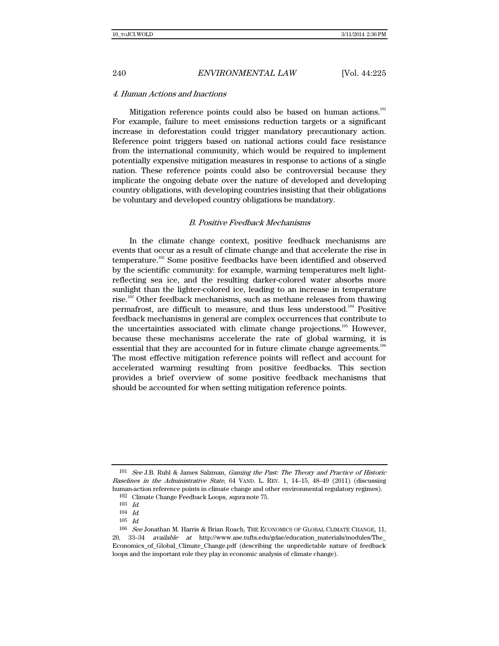### 4. Human Actions and Inactions

Mitigation reference points could also be based on human actions.<sup>101</sup> For example, failure to meet emissions reduction targets or a significant increase in deforestation could trigger mandatory precautionary action. Reference point triggers based on national actions could face resistance from the international community, which would be required to implement potentially expensive mitigation measures in response to actions of a single nation. These reference points could also be controversial because they implicate the ongoing debate over the nature of developed and developing country obligations, with developing countries insisting that their obligations be voluntary and developed country obligations be mandatory.

### B. Positive Feedback Mechanisms

In the climate change context, positive feedback mechanisms are events that occur as a result of climate change and that accelerate the rise in temperature.102 Some positive feedbacks have been identified and observed by the scientific community: for example, warming temperatures melt lightreflecting sea ice, and the resulting darker-colored water absorbs more sunlight than the lighter-colored ice, leading to an increase in temperature rise.<sup>103</sup> Other feedback mechanisms, such as methane releases from thawing permafrost, are difficult to measure, and thus less understood.104 Positive feedback mechanisms in general are complex occurrences that contribute to the uncertainties associated with climate change projections.<sup>105</sup> However, because these mechanisms accelerate the rate of global warming, it is essential that they are accounted for in future climate change agreements.<sup>106</sup> The most effective mitigation reference points will reflect and account for accelerated warming resulting from positive feedbacks. This section provides a brief overview of some positive feedback mechanisms that should be accounted for when setting mitigation reference points.

<sup>101</sup> See J.B. Ruhl & James Salzman, Gaming the Past: The Theory and Practice of Historic Baselines in the Administrative State, 64 VAND. L. REV. 1, 14–15, 48–49 (2011) (discussing human-action reference points in climate change and other environmental regulatory regimes).

<sup>102</sup> Climate Change Feedback Loops, supra note 75.

 $\frac{103}{104}$  *Id.* 

 $Id.$ 

<sup>105</sup> Id.

<sup>106</sup> See Jonathan M. Harris & Brian Roach, THE ECONOMICS OF GLOBAL CLIMATE CHANGE, 11, 20, 33–34 available at http://www.ase.tufts.edu/gdae/education\_materials/modules/The\_ Economics\_of\_Global\_Climate\_Change.pdf (describing the unpredictable nature of feedback loops and the important role they play in economic analysis of climate change).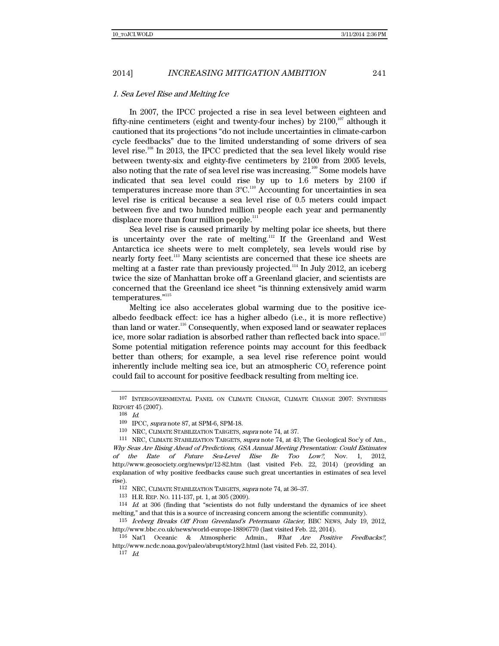## 1. Sea Level Rise and Melting Ice

In 2007, the IPCC projected a rise in sea level between eighteen and fifty-nine centimeters (eight and twenty-four inches) by  $2100$ ,<sup>107</sup> although it cautioned that its projections "do not include uncertainties in climate-carbon cycle feedbacks" due to the limited understanding of some drivers of sea level rise.<sup>108</sup> In 2013, the IPCC predicted that the sea level likely would rise between twenty-six and eighty-five centimeters by 2100 from 2005 levels, also noting that the rate of sea level rise was increasing.<sup>109</sup> Some models have indicated that sea level could rise by up to 1.6 meters by 2100 if temperatures increase more than  $3^{\circ}$ C.<sup>110</sup> Accounting for uncertainties in sea level rise is critical because a sea level rise of 0.5 meters could impact between five and two hundred million people each year and permanently displace more than four million people.<sup>111</sup>

Sea level rise is caused primarily by melting polar ice sheets, but there is uncertainty over the rate of melting.<sup>112</sup> If the Greenland and West Antarctica ice sheets were to melt completely, sea levels would rise by nearly forty feet.<sup>113</sup> Many scientists are concerned that these ice sheets are melting at a faster rate than previously projected.<sup>114</sup> In July 2012, an iceberg twice the size of Manhattan broke off a Greenland glacier, and scientists are concerned that the Greenland ice sheet "is thinning extensively amid warm temperatures."<sup>115</sup>

Melting ice also accelerates global warming due to the positive icealbedo feedback effect: ice has a higher albedo (i.e., it is more reflective) than land or water.<sup>116</sup> Consequently, when exposed land or seawater replaces ice, more solar radiation is absorbed rather than reflected back into space. $117$ Some potential mitigation reference points may account for this feedback better than others; for example, a sea level rise reference point would inherently include melting sea ice, but an atmospheric CO<sub>2</sub> reference point could fail to account for positive feedback resulting from melting ice.

 $117$  Id.

<sup>107</sup> INTERGOVERNMENTAL PANEL ON CLIMATE CHANGE, CLIMATE CHANGE 2007: SYNTHESIS REPORT 45 (2007).

<sup>108</sup> Id.

<sup>109</sup> IPCC, supra note 87, at SPM-6, SPM-18.

<sup>110</sup> NRC, CLIMATE STABILIZATION TARGETS, supra note 74, at 37.

<sup>111</sup> NRC, CLIMATE STABILIZATION TARGETS, supra note 74, at 43; The Geological Soc'y of Am., Why Seas Are Rising Ahead of Predictions, GSA Annual Meeting Presentation: Could Estimates of the Rate of Future Sea-Level Rise Be Too Low?, Nov. 1, 2012, http://www.geosociety.org/news/pr/12-82.htm (last visited Feb. 22, 2014) (providing an explanation of why positive feedbacks cause such great uncertanties in estimates of sea level rise).

 $^{112}$  NRC, CLIMATE STABILIZATION TARGETS, supra note 74, at 36–37.  $^{113}$  H.R. REP. No. 111-137, pt. 1, at 305 (2009).

 $114$  *Id.* at 306 (finding that "scientists do not fully understand the dynamics of ice sheet melting," and that this is a source of increasing concern among the scientific community).

<sup>115</sup> Iceberg Breaks Off From Greenland's Petermann Glacier, BBC NEWS, July 19, 2012, http://www.bbc.co.uk/news/world-europe-18896770 (last visited Feb. 22, 2014).

<sup>116</sup> Nat'l Oceanic & Atmospheric Admin., What Are Positive Feedbacks?, http://www.ncdc.noaa.gov/paleo/abrupt/story2.html (last visited Feb. 22, 2014).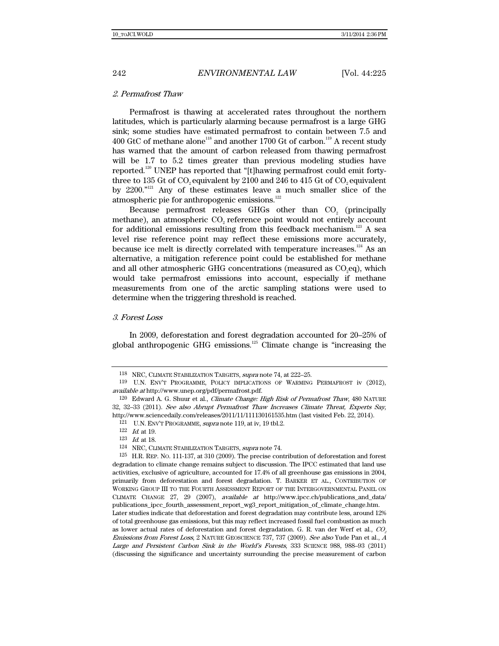### 2. Permafrost Thaw

Permafrost is thawing at accelerated rates throughout the northern latitudes, which is particularly alarming because permafrost is a large GHG sink; some studies have estimated permafrost to contain between 7.5 and 400 GtC of methane alone<sup>118</sup> and another 1700 Gt of carbon.<sup>119</sup> A recent study has warned that the amount of carbon released from thawing permafrost will be 1.7 to 5.2 times greater than previous modeling studies have reported.120 UNEP has reported that "[t]hawing permafrost could emit fortythree to 135 Gt of CO<sub>2</sub> equivalent by 2100 and 246 to 415 Gt of CO<sub>2</sub> equivalent by 2200."121 Any of these estimates leave a much smaller slice of the atmospheric pie for anthropogenic emissions. $122$ 

Because permafrost releases GHGs other than  $CO<sub>2</sub>$  (principally methane), an atmospheric CO<sub>2</sub> reference point would not entirely account for additional emissions resulting from this feedback mechanism.<sup>123</sup> A sea level rise reference point may reflect these emissions more accurately, because ice melt is directly correlated with temperature increases.<sup>124</sup> As an alternative, a mitigation reference point could be established for methane and all other atmospheric GHG concentrations (measured as  $CO<sub>2</sub>eq$ ), which would take permafrost emissions into account, especially if methane measurements from one of the arctic sampling stations were used to determine when the triggering threshold is reached.

## 3. Forest Loss

In 2009, deforestation and forest degradation accounted for 20–25% of global anthropogenic GHG emissions.125 Climate change is "increasing the

<sup>118</sup> NRC, CLIMATE STABILIZATION TARGETS, supra note 74, at 222–25.

<sup>119</sup> U.N. ENV'T PROGRAMME, POLICY IMPLICATIONS OF WARMING PERMAFROST iv (2012), available at http://www.unep.org/pdf/permafrost.pdf.

<sup>120</sup> Edward A. G. Shuur et al., Climate Change: High Risk of Permafrost Thaw, 480 NATURE 32, 32–33 (2011). See also Abrupt Permafrost Thaw Increases Climate Threat, Experts Say, http://www.sciencedaily.com/releases/2011/11/111130161535.htm (last visited Feb. 22, 2014).

<sup>121</sup> U.N. ENV'T PROGRAMME, supra note 119, at iv, 19 tbl.2.

 $\frac{122}{123}$  *Id.* at 19.

Id. at 18.

<sup>124</sup> NRC, CLIMATE STABILIZATION TARGETS, supra note 74.

<sup>125</sup> H.R. REP. NO. 111-137, at 310 (2009). The precise contribution of deforestation and forest degradation to climate change remains subject to discussion. The IPCC estimated that land use activities, exclusive of agriculture, accounted for 17.4% of all greenhouse gas emissions in 2004, primarily from deforestation and forest degradation. T. BARKER ET AL., CONTRIBUTION OF WORKING GROUP III TO THE FOURTH ASSESSMENT REPORT OF THE INTERGOVERNMENTAL PANEL ON CLIMATE CHANGE 27, 29 (2007), available at http://www.ipcc.ch/publications\_and\_data/ publications\_ipcc\_fourth\_assessment\_report\_wg3\_report\_mitigation\_of\_climate\_change.htm. Later studies indicate that deforestation and forest degradation may contribute less, around 12% of total greenhouse gas emissions, but this may reflect increased fossil fuel combustion as much as lower actual rates of deforestation and forest degradation. G. R. van der Werf et al.,  $CO<sub>2</sub>$ Emissions from Forest Loss, 2 NATURE GEOSCIENCE 737, 737 (2009). See also Yude Pan et al., <sup>A</sup> Large and Persistent Carbon Sink in the World's Forests, 333 SCIENCE 988, 988–93 (2011) (discussing the significance and uncertainty surrounding the precise measurement of carbon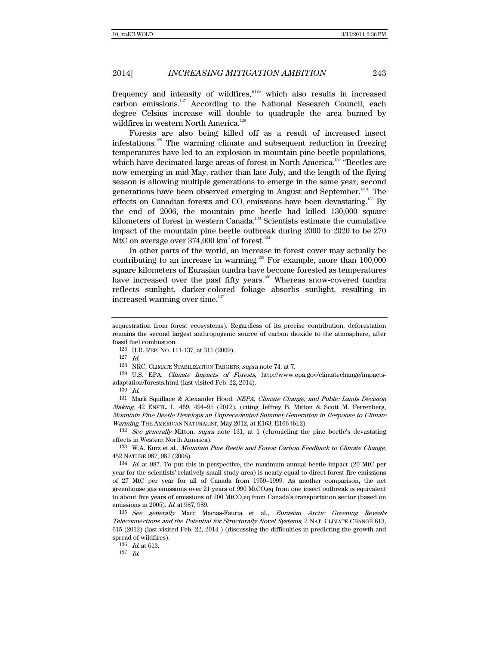frequency and intensity of wildfires," $126$  which also results in increased carbon emissions.<sup>127</sup> According to the National Research Council, each degree Celsius increase will double to quadruple the area burned by wildfires in western North America.<sup>128</sup>

Forests are also being killed off as a result of increased insect infestations.129 The warming climate and subsequent reduction in freezing temperatures have led to an explosion in mountain pine beetle populations, which have decimated large areas of forest in North America.<sup>130</sup> "Beetles are now emerging in mid-May, rather than late July, and the length of the flying season is allowing multiple generations to emerge in the same year; second generations have been observed emerging in August and September."131 The effects on Canadian forests and CO<sub>2</sub> emissions have been devastating.<sup>132</sup> By the end of 2006, the mountain pine beetle had killed 130,000 square kilometers of forest in western Canada.133 Scientists estimate the cumulative impact of the mountain pine beetle outbreak during 2000 to 2020 to be 270 MtC on average over  $374,\!000$  km $^2$  of forest.  $^{134}$ 

In other parts of the world, an increase in forest cover may actually be contributing to an increase in warming.<sup>135</sup> For example, more than 100,000 square kilometers of Eurasian tundra have become forested as temperatures have increased over the past fifty years.<sup>136</sup> Whereas snow-covered tundra reflects sunlight, darker-colored foliage absorbs sunlight, resulting in increased warming over time.<sup>137</sup>

127 Id.

128 NRC, CLIMATE STABILIZATION TARGETS, supra note 74, at 7.

129 U.S. EPA, Climate Impacts of Forests, http://www.epa.gov/climatechange/impactsadaptation/forests.html (last visited Feb. 22, 2014).

 $1\overline{3}0$  *Id.* 

131 Mark Squillace & Alexander Hood, NEPA, Climate Change, and Public Lands Decision Making, 42 ENVTL. L. 469, 494–95 (2012), (citing Jeffrey B. Mitton & Scott M. Ferrenberg, Mountain Pine Beetle Develops an Unprecedented Summer Generation in Response to Climate Warming, THE AMERICAN NATURALIST, May 2012, at E163, E166 tbl.2).

 $132$  See generally Mitton, supra note 131, at 1 (chronicling the pine beetle's devastating effects in Western North America).

133 W.A. Kurz et al., Mountain Pine Beetle and Forest Carbon Feedback to Climate Change, 452 NATURE 987, 987 (2008).

134 Id. at 987. To put this in perspective, the maximum annual beetle impact (20 MtC per year for the scientists' relatively small study area) is nearly equal to direct forest fire emissions of 27 MtC per year for all of Canada from 1959–1999. As another comparison, the net greenhouse gas emissions over 21 years of 990 MtCO<sub>2</sub>eq from one insect outbreak is equivalent to about five years of emissions of 200 MtCO<sub>2</sub>eq from Canada's transportation sector (based on emissions in 2005). Id. at 987, 989.

135 See generally Marc Macias-Fauria et al., Eurasian Arctic Greening Reveals Teleconnections and the Potential for Structurally Novel Systems, 2 NAT. CLIMATE CHANGE 613, 615 (2012) (last visited Feb. 22, 2014 ) (discussing the difficulties in predicting the growth and spread of wildfires).

136  $Id.$  at 613.

 $137$  *Id.* 

sequestration from forest ecosystems). Regardless of its precise contribution, deforestation remains the second largest anthropogenic source of carbon dioxide to the atmosphere, after fossil fuel combustion.

<sup>126</sup> H.R. REP. NO. 111-137, at 311 (2009).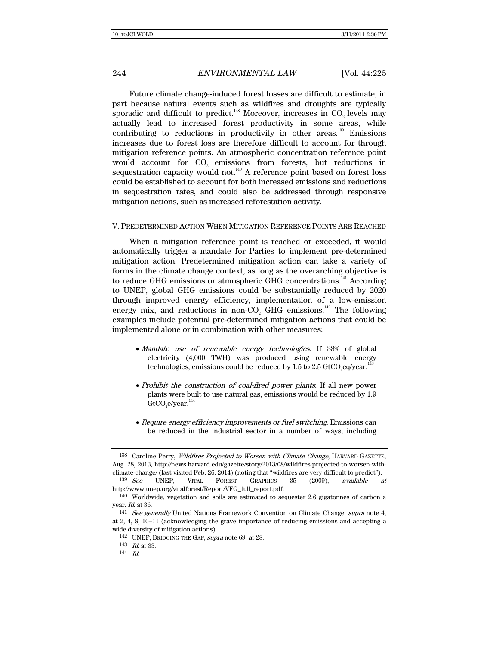Future climate change-induced forest losses are difficult to estimate, in part because natural events such as wildfires and droughts are typically sporadic and difficult to predict. $138$  Moreover, increases in CO<sub>2</sub> levels may actually lead to increased forest productivity in some areas, while contributing to reductions in productivity in other areas.<sup>139</sup> Emissions increases due to forest loss are therefore difficult to account for through mitigation reference points. An atmospheric concentration reference point would account for CO<sub>2</sub> emissions from forests, but reductions in sequestration capacity would not.<sup>140</sup> A reference point based on forest loss could be established to account for both increased emissions and reductions in sequestration rates, and could also be addressed through responsive mitigation actions, such as increased reforestation activity.

### V. PREDETERMINED ACTION WHEN MITIGATION REFERENCE POINTS ARE REACHED

When a mitigation reference point is reached or exceeded, it would automatically trigger a mandate for Parties to implement pre-determined mitigation action. Predetermined mitigation action can take a variety of forms in the climate change context, as long as the overarching objective is to reduce GHG emissions or atmospheric GHG concentrations.<sup>141</sup> According to UNEP, global GHG emissions could be substantially reduced by 2020 through improved energy efficiency, implementation of a low-emission energy mix, and reductions in non-CO<sub>2</sub> GHG emissions.<sup>142</sup> The following examples include potential pre-determined mitigation actions that could be implemented alone or in combination with other measures:

- Mandate use of renewable energy technologies. If 38% of global electricity (4,000 TWH) was produced using renewable energy technologies, emissions could be reduced by  $1.5$  to  $2.5$  GtCO<sub>2</sub>eq/year.  $^{143}$
- Prohibit the construction of coal-fired power plants. If all new power plants were built to use natural gas, emissions would be reduced by 1.9 GtCO $_{\textrm{\tiny{2}}}$ e/year. $^{144}$
- Require energy efficiency improvements or fuel switching. Emissions can be reduced in the industrial sector in a number of ways, including

<sup>138</sup> Caroline Perry, Wildfires Projected to Worsen with Climate Change, HARVARD GAZETTE, Aug. 28, 2013, http://news.harvard.edu/gazette/story/2013/08/wildfires-projected-to-worsen-withclimate-change/ (last visited Feb. 26, 2014) (noting that "wildfires are very difficult to predict").

 $139 \text{ See}$  UNEP, VITAL FOREST GRAPHICS  $35$  (2009), available at http://www.unep.org/vitalforest/Report/VFG\_full\_report.pdf.

<sup>140</sup> Worldwide, vegetation and soils are estimated to sequester 2.6 gigatonnes of carbon a year. Id. at 36.

<sup>&</sup>lt;sup>141</sup> See generally United Nations Framework Convention on Climate Change, supra note 4, at 2, 4, 8, 10-11 (acknowledging the grave importance of reducing emissions and accepting a wide diversity of mitigation actions).

<sup>142</sup> UNEP, BRIDGING THE GAP, supra note 69, at 28.

<sup>143</sup> Id. at 33.

<sup>144</sup> Id.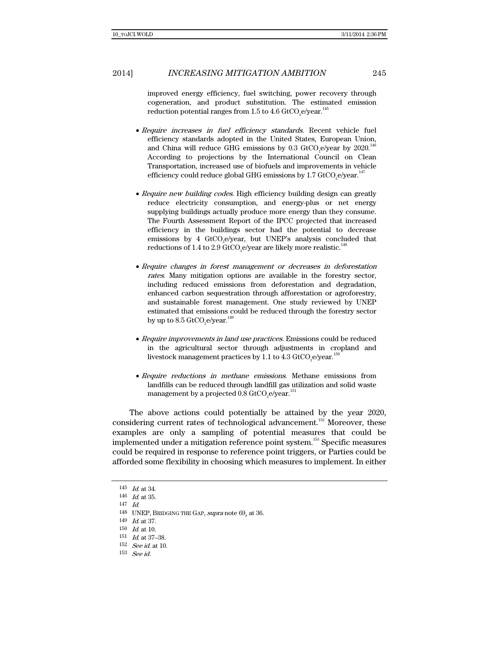improved energy efficiency, fuel switching, power recovery through cogeneration, and product substitution. The estimated emission reduction potential ranges from 1.5 to 4.6 GtCO<sub>2</sub>e/year. $^{145}$ 

- Require increases in fuel efficiency standards. Recent vehicle fuel efficiency standards adopted in the United States, European Union, and China will reduce GHG emissions by 0.3 GtCO<sub>2</sub>e/year by 2020.<sup>146</sup> According to projections by the International Council on Clean Transportation, increased use of biofuels and improvements in vehicle efficiency could reduce global GHG emissions by 1.7 GtCO<sub>2</sub>e/year. $^{147}$
- Require new building codes. High efficiency building design can greatly reduce electricity consumption, and energy-plus or net energy supplying buildings actually produce more energy than they consume. The Fourth Assessment Report of the IPCC projected that increased efficiency in the buildings sector had the potential to decrease emissions by 4  $GtCO<sub>2</sub>e/year$ , but UNEP's analysis concluded that reductions of 1.4 to 2.9 GtCO<sub>2</sub>e/year are likely more realistic.<sup>148</sup>
- Require changes in forest management or decreases in deforestation rates. Many mitigation options are available in the forestry sector, including reduced emissions from deforestation and degradation, enhanced carbon sequestration through afforestation or agroforestry, and sustainable forest management. One study reviewed by UNEP estimated that emissions could be reduced through the forestry sector by up to  $8.5$  GtCO $_{\tiny{2}}$ e/year. $^{149}$
- Require improvements in land use practices. Emissions could be reduced in the agricultural sector through adjustments in cropland and livestock management practices by 1.1 to 4.3 GtCO<sub>2</sub>e/year. $^{150}$
- Require reductions in methane emissions. Methane emissions from landfills can be reduced through landfill gas utilization and solid waste management by a projected  $0.8\,\mathrm{GtCO}_\mathrm{2}$ e/year. $^\mathrm{151}$

The above actions could potentially be attained by the year 2020, considering current rates of technological advancement.<sup>152</sup> Moreover, these examples are only a sampling of potential measures that could be implemented under a mitigation reference point system.<sup>153</sup> Specific measures could be required in response to reference point triggers, or Parties could be afforded some flexibility in choosing which measures to implement. In either

<sup>145</sup> Id. at 34.

 $^{146}\;$   $\emph{Id.}$  at 35.

<sup>147</sup> Id.

<sup>148</sup> UNEP, BRIDGING THE GAP, supra note 69, at 36.

<sup>149</sup> Id. at 37.

 $150$  *Id.* at 10.

<sup>151</sup> Id. at 37–38.

 $^{152}\;$  See id. at 10.

<sup>153</sup> See id.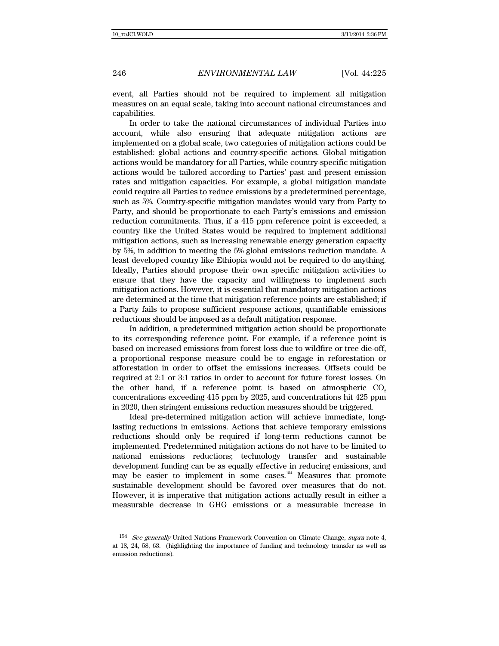event, all Parties should not be required to implement all mitigation measures on an equal scale, taking into account national circumstances and capabilities.

In order to take the national circumstances of individual Parties into account, while also ensuring that adequate mitigation actions are implemented on a global scale, two categories of mitigation actions could be established: global actions and country-specific actions. Global mitigation actions would be mandatory for all Parties, while country-specific mitigation actions would be tailored according to Parties' past and present emission rates and mitigation capacities. For example, a global mitigation mandate could require all Parties to reduce emissions by a predetermined percentage, such as 5%. Country-specific mitigation mandates would vary from Party to Party, and should be proportionate to each Party's emissions and emission reduction commitments. Thus, if a 415 ppm reference point is exceeded, a country like the United States would be required to implement additional mitigation actions, such as increasing renewable energy generation capacity by 5%, in addition to meeting the 5% global emissions reduction mandate. A least developed country like Ethiopia would not be required to do anything. Ideally, Parties should propose their own specific mitigation activities to ensure that they have the capacity and willingness to implement such mitigation actions. However, it is essential that mandatory mitigation actions are determined at the time that mitigation reference points are established; if a Party fails to propose sufficient response actions, quantifiable emissions reductions should be imposed as a default mitigation response.

In addition, a predetermined mitigation action should be proportionate to its corresponding reference point. For example, if a reference point is based on increased emissions from forest loss due to wildfire or tree die-off, a proportional response measure could be to engage in reforestation or afforestation in order to offset the emissions increases. Offsets could be required at 2:1 or 3:1 ratios in order to account for future forest losses. On the other hand, if a reference point is based on atmospheric  $CO<sub>2</sub>$ concentrations exceeding 415 ppm by 2025, and concentrations hit 425 ppm in 2020, then stringent emissions reduction measures should be triggered.

Ideal pre-determined mitigation action will achieve immediate, longlasting reductions in emissions. Actions that achieve temporary emissions reductions should only be required if long-term reductions cannot be implemented. Predetermined mitigation actions do not have to be limited to national emissions reductions; technology transfer and sustainable development funding can be as equally effective in reducing emissions, and may be easier to implement in some cases.<sup>154</sup> Measures that promote sustainable development should be favored over measures that do not. However, it is imperative that mitigation actions actually result in either a measurable decrease in GHG emissions or a measurable increase in

<sup>&</sup>lt;sup>154</sup> See generally United Nations Framework Convention on Climate Change, supra note 4, at 18, 24, 58, 63. (highlighting the importance of funding and technology transfer as well as emission reductions).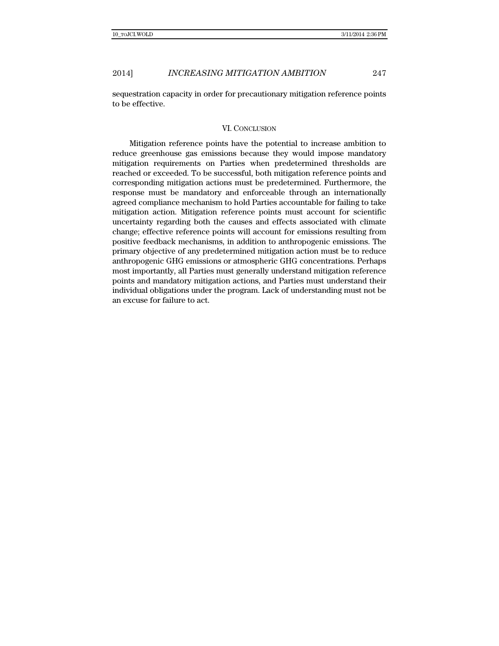sequestration capacity in order for precautionary mitigation reference points to be effective.

### VI. CONCLUSION

Mitigation reference points have the potential to increase ambition to reduce greenhouse gas emissions because they would impose mandatory mitigation requirements on Parties when predetermined thresholds are reached or exceeded. To be successful, both mitigation reference points and corresponding mitigation actions must be predetermined. Furthermore, the response must be mandatory and enforceable through an internationally agreed compliance mechanism to hold Parties accountable for failing to take mitigation action. Mitigation reference points must account for scientific uncertainty regarding both the causes and effects associated with climate change; effective reference points will account for emissions resulting from positive feedback mechanisms, in addition to anthropogenic emissions. The primary objective of any predetermined mitigation action must be to reduce anthropogenic GHG emissions or atmospheric GHG concentrations. Perhaps most importantly, all Parties must generally understand mitigation reference points and mandatory mitigation actions, and Parties must understand their individual obligations under the program. Lack of understanding must not be an excuse for failure to act.